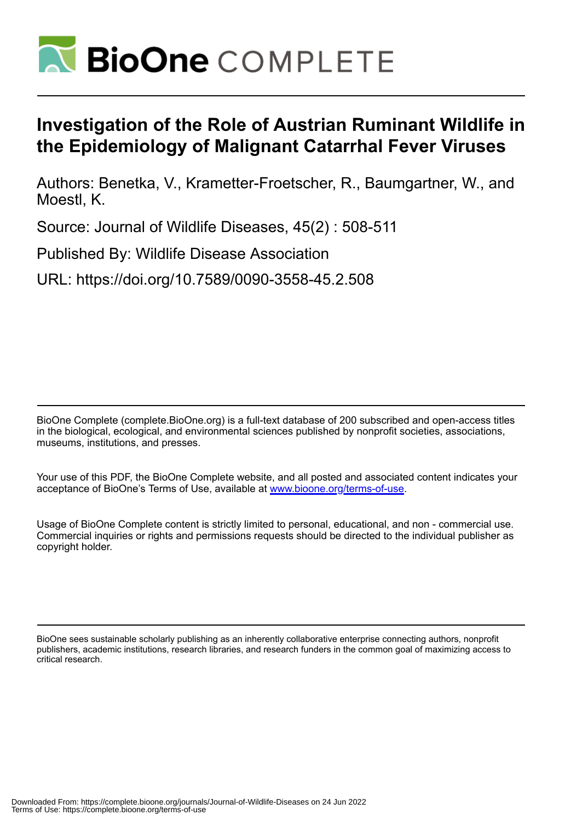

## **Investigation of the Role of Austrian Ruminant Wildlife in the Epidemiology of Malignant Catarrhal Fever Viruses**

Authors: Benetka, V., Krametter-Froetscher, R., Baumgartner, W., and Moestl, K.

Source: Journal of Wildlife Diseases, 45(2) : 508-511

Published By: Wildlife Disease Association

URL: https://doi.org/10.7589/0090-3558-45.2.508

BioOne Complete (complete.BioOne.org) is a full-text database of 200 subscribed and open-access titles in the biological, ecological, and environmental sciences published by nonprofit societies, associations, museums, institutions, and presses.

Your use of this PDF, the BioOne Complete website, and all posted and associated content indicates your acceptance of BioOne's Terms of Use, available at www.bioone.org/terms-of-use.

Usage of BioOne Complete content is strictly limited to personal, educational, and non - commercial use. Commercial inquiries or rights and permissions requests should be directed to the individual publisher as copyright holder.

BioOne sees sustainable scholarly publishing as an inherently collaborative enterprise connecting authors, nonprofit publishers, academic institutions, research libraries, and research funders in the common goal of maximizing access to critical research.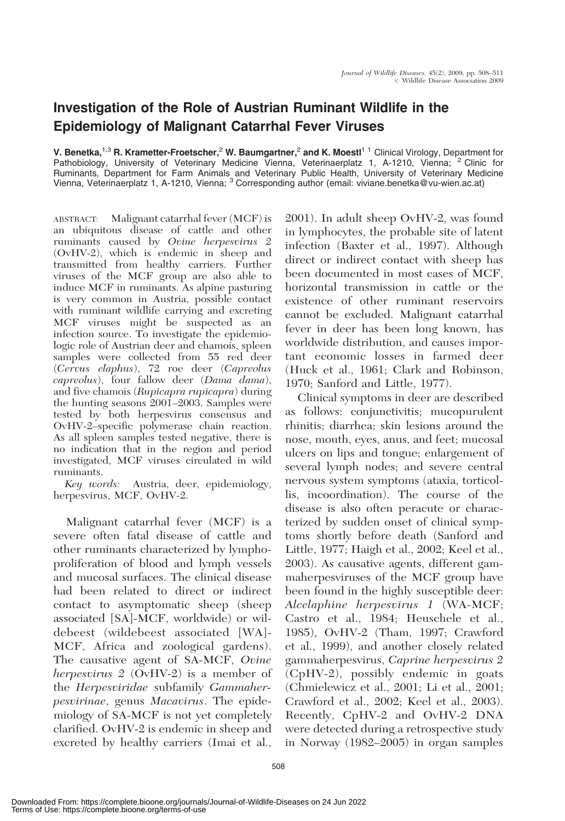## Investigation of the Role of Austrian Ruminant Wildlife in the Epidemiology of Malignant Catarrhal Fever Viruses

V. Benetka,<sup>1,3</sup> R. Krametter-Froetscher,<sup>2</sup> W. Baumgartner,<sup>2</sup> and K. Moestl<sup>11</sup> Clinical Virology, Department for Pathobiology, University of Veterinary Medicine Vienna, Veterinaerplatz 1, A-1210, Vienna; <sup>2</sup> Clinic for Ruminants, Department for Farm Animals and Veterinary Public Health, University of Veterinary Medicine<br>Vienna, Veterinaerplatz 1, A-1210, Vienna; <sup>3</sup> Corresponding author (email: viviane.benetka@vu-wien.ac.at)

ABSTRACT: Malignant catarrhal fever (MCF) is an ubiquitous disease of cattle and other ruminants caused by Ovine herpesvirus 2 (OvHV-2), which is endemic in sheep and transmitted from healthy carriers. Further viruses of the MCF group are also able to induce MCF in ruminants. As alpine pasturing is very common in Austria, possible contact with ruminant wildlife carrying and excreting MCF viruses might be suspected as an infection source. To investigate the epidemiologic role of Austrian deer and chamois, spleen samples were collected from 55 red deer (Cervus elaphus), 72 roe deer (Capreolus capreolus), four fallow deer (Dama dama), and five chamois (Rupicapra rupicapra) during the hunting seasons 2001–2003. Samples were tested by both herpesvirus consensus and OvHV-2–specific polymerase chain reaction. As all spleen samples tested negative, there is no indication that in the region and period investigated, MCF viruses circulated in wild ruminants.

Key words: Austria, deer, epidemiology, herpesvirus, MCF, OvHV-2.

Malignant catarrhal fever (MCF) is a severe often fatal disease of cattle and other ruminants characterized by lymphoproliferation of blood and lymph vessels and mucosal surfaces. The clinical disease had been related to direct or indirect contact to asymptomatic sheep (sheep associated [SA]-MCF, worldwide) or wildebeest (wildebeest associated [WA]- MCF, Africa and zoological gardens). The causative agent of SA-MCF, Ovine herpesvirus 2 (OvHV-2) is a member of the Herpesviridae subfamily Gammaherpesvirinae, genus Macavirus. The epidemiology of SA-MCF is not yet completely clarified. OvHV-2 is endemic in sheep and excreted by healthy carriers (Imai et al.,

2001). In adult sheep OvHV-2, was found in lymphocytes, the probable site of latent infection (Baxter et al., 1997). Although direct or indirect contact with sheep has been documented in most cases of MCF, horizontal transmission in cattle or the existence of other ruminant reservoirs cannot be excluded. Malignant catarrhal fever in deer has been long known, has worldwide distribution, and causes important economic losses in farmed deer (Huck et al., 1961; Clark and Robinson, 1970; Sanford and Little, 1977).

Clinical symptoms in deer are described as follows: conjunctivitis; mucopurulent rhinitis; diarrhea; skin lesions around the nose, mouth, eyes, anus, and feet; mucosal ulcers on lips and tongue; enlargement of several lymph nodes; and severe central nervous system symptoms (ataxia, torticollis, incoordination). The course of the disease is also often peracute or characterized by sudden onset of clinical symptoms shortly before death (Sanford and Little, 1977; Haigh et al., 2002; Keel et al., 2003). As causative agents, different gammaherpesviruses of the MCF group have been found in the highly susceptible deer: Alcelaphine herpesvirus 1 (WA-MCF; Castro et al., 1984; Heuschele et al., 1985), OvHV-2 (Tham, 1997; Crawford et al., 1999), and another closely related gammaherpesvirus, Caprine herpesvirus 2 (CpHV-2), possibly endemic in goats (Chmielewicz et al., 2001; Li et al., 2001; Crawford et al., 2002; Keel et al., 2003). Recently, CpHV-2 and OvHV-2 DNA were detected during a retrospective study in Norway (1982–2005) in organ samples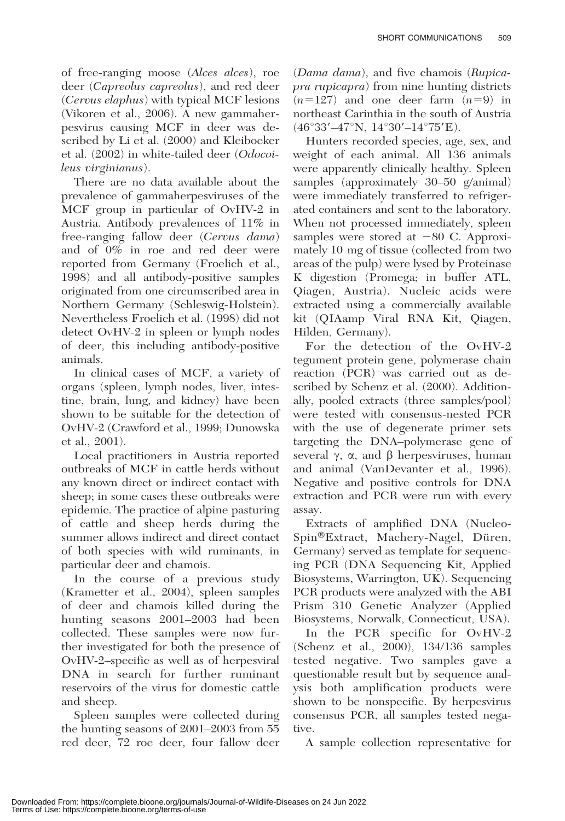of free-ranging moose (Alces alces), roe deer (Capreolus capreolus), and red deer (Cervus elaphus) with typical MCF lesions (Vikoren et al., 2006). A new gammaherpesvirus causing MCF in deer was described by Li et al. (2000) and Kleiboeker et al. (2002) in white-tailed deer (Odocoileus virginianus).

There are no data available about the prevalence of gammaherpesviruses of the MCF group in particular of OvHV-2 in Austria. Antibody prevalences of 11% in free-ranging fallow deer (Cervus dama) and of 0% in roe and red deer were reported from Germany (Froelich et al., 1998) and all antibody-positive samples originated from one circumscribed area in Northern Germany (Schleswig-Holstein). Nevertheless Froelich et al. (1998) did not detect OvHV-2 in spleen or lymph nodes of deer, this including antibody-positive animals.

In clinical cases of MCF, a variety of organs (spleen, lymph nodes, liver, intestine, brain, lung, and kidney) have been shown to be suitable for the detection of OvHV-2 (Crawford et al., 1999; Dunowska et al., 2001).

Local practitioners in Austria reported outbreaks of MCF in cattle herds without any known direct or indirect contact with sheep; in some cases these outbreaks were epidemic. The practice of alpine pasturing of cattle and sheep herds during the summer allows indirect and direct contact of both species with wild ruminants, in particular deer and chamois.

In the course of a previous study (Krametter et al., 2004), spleen samples of deer and chamois killed during the hunting seasons 2001–2003 had been collected. These samples were now further investigated for both the presence of OvHV-2–specific as well as of herpesviral DNA in search for further ruminant reservoirs of the virus for domestic cattle and sheep.

Spleen samples were collected during the hunting seasons of 2001–2003 from 55 red deer, 72 roe deer, four fallow deer

(Dama dama), and five chamois (Rupicapra rupicapra) from nine hunting districts  $(n=127)$  and one deer farm  $(n=9)$  in northeast Carinthia in the south of Austria  $(46°33'–47°N, 14°30'–14°75'E).$ 

Hunters recorded species, age, sex, and weight of each animal. All 136 animals were apparently clinically healthy. Spleen samples (approximately 30–50 g/animal) were immediately transferred to refrigerated containers and sent to the laboratory. When not processed immediately, spleen samples were stored at  $-80$  C. Approximately 10 mg of tissue (collected from two areas of the pulp) were lysed by Proteinase K digestion (Promega; in buffer ATL, Qiagen, Austria). Nucleic acids were extracted using a commercially available kit (QIAamp Viral RNA Kit, Qiagen, Hilden, Germany).

For the detection of the OvHV-2 tegument protein gene, polymerase chain reaction (PCR) was carried out as described by Schenz et al. (2000). Additionally, pooled extracts (three samples/pool) were tested with consensus-nested PCR with the use of degenerate primer sets targeting the DNA–polymerase gene of several  $\gamma$ ,  $\alpha$ , and  $\beta$  herpesviruses, human and animal (VanDevanter et al., 1996). Negative and positive controls for DNA extraction and PCR were run with every assay.

Extracts of amplified DNA (Nucleo-Spin<sup>®</sup>Extract, Machery-Nagel, Düren, Germany) served as template for sequencing PCR (DNA Sequencing Kit, Applied Biosystems, Warrington, UK). Sequencing PCR products were analyzed with the ABI Prism 310 Genetic Analyzer (Applied Biosystems, Norwalk, Connecticut, USA).

In the PCR specific for OvHV-2 (Schenz et al., 2000), 134/136 samples tested negative. Two samples gave a questionable result but by sequence analysis both amplification products were shown to be nonspecific. By herpesvirus consensus PCR, all samples tested negative.

A sample collection representative for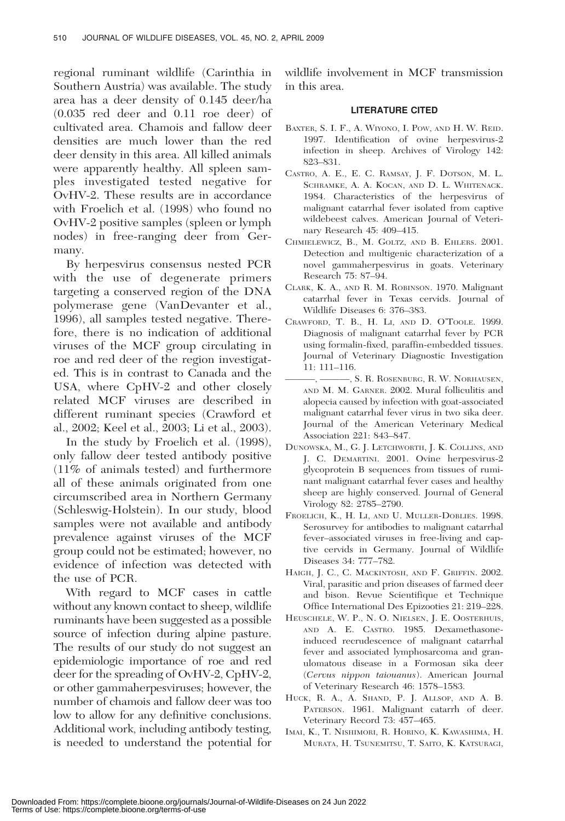regional ruminant wildlife (Carinthia in Southern Austria) was available. The study area has a deer density of 0.145 deer/ha (0.035 red deer and 0.11 roe deer) of cultivated area. Chamois and fallow deer densities are much lower than the red deer density in this area. All killed animals were apparently healthy. All spleen samples investigated tested negative for OvHV-2. These results are in accordance with Froelich et al. (1998) who found no OvHV-2 positive samples (spleen or lymph nodes) in free-ranging deer from Germany.

By herpesvirus consensus nested PCR with the use of degenerate primers targeting a conserved region of the DNA polymerase gene (VanDevanter et al., 1996), all samples tested negative. Therefore, there is no indication of additional viruses of the MCF group circulating in roe and red deer of the region investigated. This is in contrast to Canada and the USA, where CpHV-2 and other closely related MCF viruses are described in different ruminant species (Crawford et al., 2002; Keel et al., 2003; Li et al., 2003).

In the study by Froelich et al. (1998), only fallow deer tested antibody positive (11% of animals tested) and furthermore all of these animals originated from one circumscribed area in Northern Germany (Schleswig-Holstein). In our study, blood samples were not available and antibody prevalence against viruses of the MCF group could not be estimated; however, no evidence of infection was detected with the use of PCR.

With regard to MCF cases in cattle without any known contact to sheep, wildlife ruminants have been suggested as a possible source of infection during alpine pasture. The results of our study do not suggest an epidemiologic importance of roe and red deer for the spreading of OvHV-2, CpHV-2, or other gammaherpesviruses; however, the number of chamois and fallow deer was too low to allow for any definitive conclusions. Additional work, including antibody testing, is needed to understand the potential for

wildlife involvement in MCF transmission in this area.

## LITERATURE CITED

- BAXTER, S. I. F., A. WIYONO, I. POW, AND H. W. REID. 1997. Identification of ovine herpesvirus-2 infection in sheep. Archives of Virology 142: 823–831.
- CASTRO, A. E., E. C. RAMSAY, J. F. DOTSON, M. L. SCHRAMKE, A. A. KOCAN, AND D. L. WHITENACK. 1984. Characteristics of the herpesvirus of malignant catarrhal fever isolated from captive wildebeest calves. American Journal of Veterinary Research 45: 409–415.
- CHMIELEWICZ, B., M. GOLTZ, AND B. EHLERS. 2001. Detection and multigenic characterization of a novel gammaherpesvirus in goats. Veterinary Research 75: 87–94.
- CLARK, K. A., AND R. M. ROBINSON. 1970. Malignant catarrhal fever in Texas cervids. Journal of Wildlife Diseases 6: 376–383.
- CRAWFORD, T. B., H. LI, AND D. O'TOOLE. 1999. Diagnosis of malignant catarrhal fever by PCR using formalin-fixed, paraffin-embedded tissues. Journal of Veterinary Diagnostic Investigation 11: 111–116.
- $-$ , S. R. ROSENBURG, R. W. NORHAUSEN, AND M. M. GARNER. 2002. Mural folliculitis and alopecia caused by infection with goat-associated malignant catarrhal fever virus in two sika deer. Journal of the American Veterinary Medical Association 221: 843–847.
- DUNOWSKA, M., G. J. LETCHWORTH, J. K. COLLINS, AND J. C. DEMARTINI. 2001. Ovine herpesvirus-2 glycoprotein B sequences from tissues of ruminant malignant catarrhal fever cases and healthy sheep are highly conserved. Journal of General Virology 82: 2785–2790.
- FROELICH, K., H. LI, AND U. MULLER-DOBLIES. 1998. Serosurvey for antibodies to malignant catarrhal fever–associated viruses in free-living and captive cervids in Germany. Journal of Wildlife Diseases 34: 777–782.
- HAIGH, J. C., C. MACKINTOSH, AND F. GRIFFIN. 2002. Viral, parasitic and prion diseases of farmed deer and bison. Revue Scientifique et Technique Office International Des Epizooties 21: 219–228.
- HEUSCHELE, W. P., N. O. NIELSEN, J. E. OOSTERHUIS, AND A. E. CASTRO. 1985. Dexamethasoneinduced recrudescence of malignant catarrhal fever and associated lymphosarcoma and granulomatous disease in a Formosan sika deer (Cervus nippon taiouanus). American Journal of Veterinary Research 46: 1578–1583.
- HUCK, R. A., A. SHAND, P. J. ALLSOP, AND A. B. PATERSON. 1961. Malignant catarrh of deer. Veterinary Record 73: 457–465.
- IMAI, K., T. NISHIMORI, R. HORINO, K. KAWASHIMA, H. MURATA, H. TSUNEMITSU, T. SAITO, K. KATSURAGI,